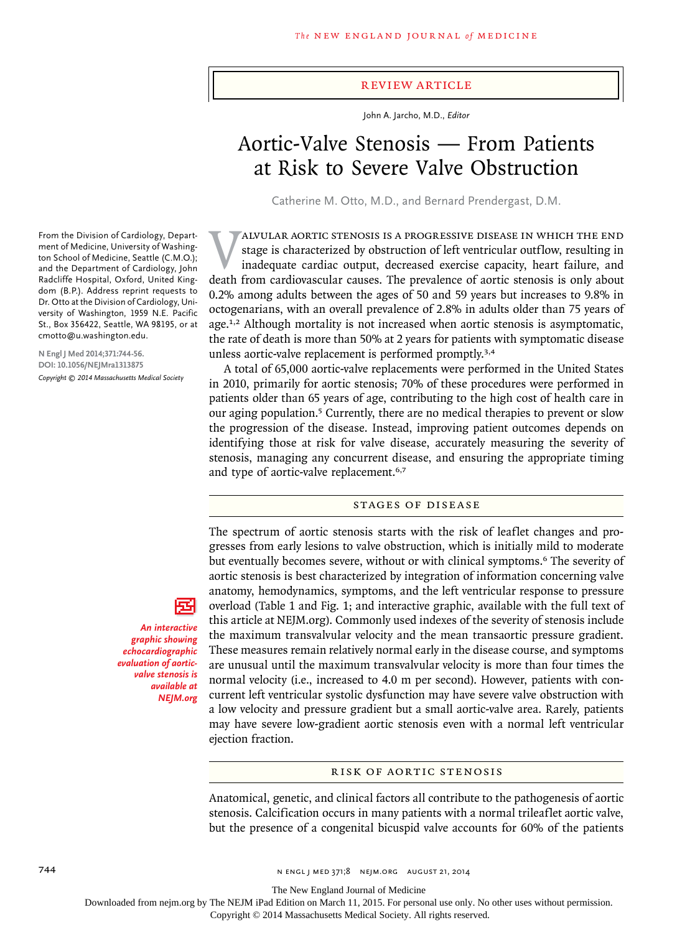### review article

John A. Jarcho, M.D., *Editor*

# Aortic-Valve Stenosis — From Patients at Risk to Severe Valve Obstruction

Catherine M. Otto, M.D., and Bernard Prendergast, D.M.

XALVULAR AORTIC STENOSIS IS A PROGRESSIVE DISEASE IN WHICH THE END stage is characterized by obstruction of left ventricular outflow, resulting in inadequate cardiac output, decreased exercise capacity, heart failure, and stage is characterized by obstruction of left ventricular outflow, resulting in inadequate cardiac output, decreased exercise capacity, heart failure, and death from cardiovascular causes. The prevalence of aortic stenosis is only about 0.2% among adults between the ages of 50 and 59 years but increases to 9.8% in octogenarians, with an overall prevalence of 2.8% in adults older than 75 years of age.<sup>1,2</sup> Although mortality is not increased when aortic stenosis is asymptomatic, the rate of death is more than 50% at 2 years for patients with symptomatic disease unless aortic-valve replacement is performed promptly.3,4

A total of 65,000 aortic-valve replacements were performed in the United States in 2010, primarily for aortic stenosis; 70% of these procedures were performed in patients older than 65 years of age, contributing to the high cost of health care in our aging population.5 Currently, there are no medical therapies to prevent or slow the progression of the disease. Instead, improving patient outcomes depends on identifying those at risk for valve disease, accurately measuring the severity of stenosis, managing any concurrent disease, and ensuring the appropriate timing and type of aortic-valve replacement.<sup>6,7</sup>

# Stages of Disease

The spectrum of aortic stenosis starts with the risk of leaflet changes and progresses from early lesions to valve obstruction, which is initially mild to moderate but eventually becomes severe, without or with clinical symptoms.6 The severity of aortic stenosis is best characterized by integration of information concerning valve anatomy, hemodynamics, symptoms, and the left ventricular response to pressure overload (Table 1 and Fig. 1; and interactive graphic, available with the full text of this article at NEJM.org). Commonly used indexes of the severity of stenosis include the maximum transvalvular velocity and the mean transaortic pressure gradient. These measures remain relatively normal early in the disease course, and symptoms are unusual until the maximum transvalvular velocity is more than four times the normal velocity (i.e., increased to 4.0 m per second). However, patients with concurrent left ventricular systolic dysfunction may have severe valve obstruction with a low velocity and pressure gradient but a small aortic-valve area. Rarely, patients may have severe low-gradient aortic stenosis even with a normal left ventricular ejection fraction.

## Risk of aortic stenosis

Anatomical, genetic, and clinical factors all contribute to the pathogenesis of aortic stenosis. Calcification occurs in many patients with a normal trileaflet aortic valve, but the presence of a congenital bicuspid valve accounts for 60% of the patients

From the Division of Cardiology, Department of Medicine, University of Washington School of Medicine, Seattle (C.M.O.); and the Department of Cardiology, John Radcliffe Hospital, Oxford, United Kingdom (B.P.). Address reprint requests to Dr. Otto at the Division of Cardiology, University of Washington, 1959 N.E. Pacific St., Box 356422, Seattle, WA 98195, or at cmotto@u.washington.edu.

**N Engl J Med 2014;371:744-56. DOI: 10.1056/NEJMra1313875** *Copyright © 2014 Massachusetts Medical Society*

*An interactive graphic showing echocardiographic evaluation of aorticvalve stenosis is available at NEJM.org*

The New England Journal of Medicine

Downloaded from nejm.org by The NEJM iPad Edition on March 11, 2015. For personal use only. No other uses without permission.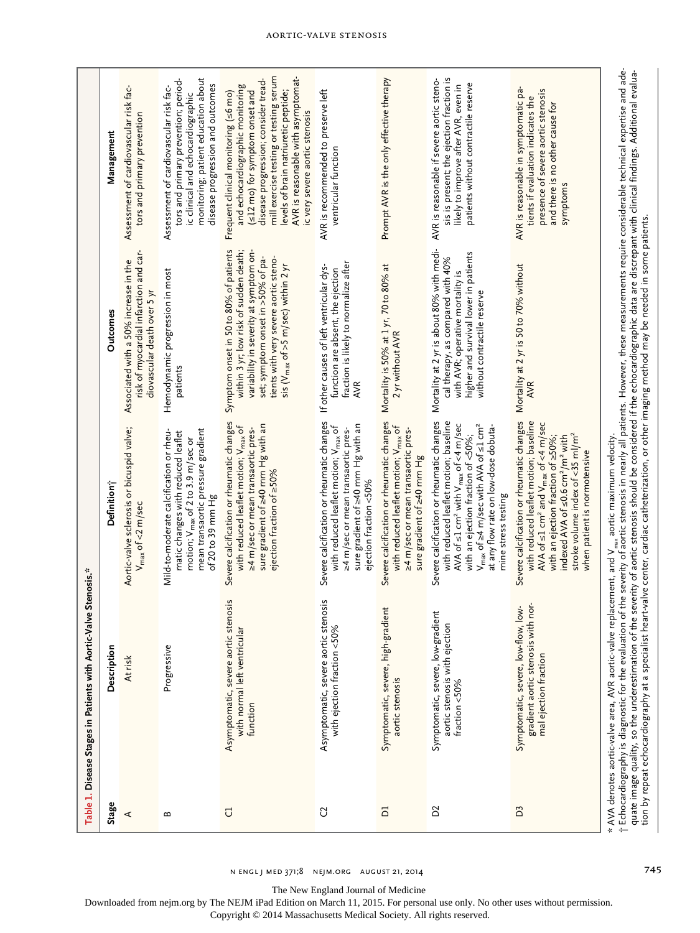|                                                                      | Management              | Assessment of cardiovascular risk fac-<br>tors and primary prevention                                          | monitoring; patient education about<br>tors and primary prevention; period-<br>disease progression and outcomes<br>Assessment of cardiovascular risk fac-<br>ic clinical and echocardiographic | mill exercise testing or testing serum<br>AVR is reasonable with asymptomat-<br>disease progression; consider tread-<br>and echocardiographic monitoring<br>levels of brain natriuretic peptide;<br>(<12 mo) for symptom onset and<br>Frequent clinical monitoring (s6 mo)<br>ic very severe aortic stenosis | AVR is recommended to preserve left<br>ventricular function                                                                                                                                               | Prompt AVR is the only effective therapy                                                                                                                                | sis is present; the ejection fraction is<br>AVR is reasonable if severe aortic steno-<br>patients without contractile reserve<br>likely to improve after AVR, even in                                                                                                                                                                   | AVR is reasonable in symptomatic pa-<br>presence of severe aortic stenosis<br>tients if evaluation indicates the<br>and there is no other cause for<br>symptoms                                                                                                                                                                                      |                                                                                                                                                                                                                                                                                                                                                                                                                                                                                                                                                                                                    |
|----------------------------------------------------------------------|-------------------------|----------------------------------------------------------------------------------------------------------------|------------------------------------------------------------------------------------------------------------------------------------------------------------------------------------------------|--------------------------------------------------------------------------------------------------------------------------------------------------------------------------------------------------------------------------------------------------------------------------------------------------------------|-----------------------------------------------------------------------------------------------------------------------------------------------------------------------------------------------------------|-------------------------------------------------------------------------------------------------------------------------------------------------------------------------|-----------------------------------------------------------------------------------------------------------------------------------------------------------------------------------------------------------------------------------------------------------------------------------------------------------------------------------------|------------------------------------------------------------------------------------------------------------------------------------------------------------------------------------------------------------------------------------------------------------------------------------------------------------------------------------------------------|----------------------------------------------------------------------------------------------------------------------------------------------------------------------------------------------------------------------------------------------------------------------------------------------------------------------------------------------------------------------------------------------------------------------------------------------------------------------------------------------------------------------------------------------------------------------------------------------------|
| ve Stenosis.*<br>Table 1. Disease Stages in Patients with Aortic-Val | <b>Outcomes</b>         | risk of myocardial infarction and car-<br>Associated with a 50% increase in the<br>diovascular death over 5 yr | Hemodynamic progression in most<br>patients                                                                                                                                                    | Symptom onset in 50 to 80% of patients<br>within 3 yr; low risk of sudden death;<br>variability in severity at symptom on-<br>set; symptom onset in >50% of pa-<br>tients with very severe aortic steno-<br>sis (V <sub>max</sub> of >5 m/sec) within 2 yr                                                   | fraction is likely to normalize after<br>If other causes of left ventricular dys-<br>function are absent, the ejection<br><b>AVR</b>                                                                      | Mortality is 50% at 1 yr, 70 to 80% at<br>2 yr without AVR                                                                                                              | Mortality at 2 yr is about 80% with medi-<br>higher and survival lower in patients<br>cal therapy, as compared with 40%<br>with AVR; operative mortality is<br>without contractile reserve                                                                                                                                              | Mortality at 2 yr is 50 to 70% without<br><b>AVR</b>                                                                                                                                                                                                                                                                                                 |                                                                                                                                                                                                                                                                                                                                                                                                                                                                                                                                                                                                    |
|                                                                      | Definition <sup>-</sup> | Aortic-valve sclerosis or bicuspid valve;<br>V <sub>max</sub> of <2 m/sec                                      | mean transaortic pressure gradient<br>matic changes with reduced leaflet<br>Mild-to-moderate calcification or rheu-<br>motion; V <sub>max</sub> of 2 to 3.9 m/sec or<br>of 20 to 39 mm Hg      | Severe calcification or rheumatic changes<br>sure gradient of $\geq$ 40 mm Hg with an<br>with reduced leaflet motion; V <sub>max</sub> of<br>≥4 m/sec or mean transaortic pres-<br>ejection fraction of ≥50%                                                                                                 | Severe calcification or rheumatic changes<br>sure gradient of $\geq$ 40 mm Hg with an<br>with reduced leaflet motion; V <sub>max</sub> of<br>≥4 m/sec or mean transaortic pres-<br>ejection fraction <50% | Severe calcification or rheumatic changes<br>with reduced leaflet motion; V <sub>max</sub> of<br>≥4 m/sec or mean transaortic pres-<br>sure gradient of $\geq$ 40 mm Hg | Severe calcification or rheumatic changes<br>with reduced leaflet motion; baseline<br>AVA of $\leq$ 1 cm <sup>2</sup> with V <sub>max</sub> of <4 m/sec<br>$V_{\text{max}}$ of $\geq$ 4 m/sec with AVA of $\leq$ 1 cm <sup>2</sup><br>at any flow rate on low-dose dobuta-<br>with an ejection fraction of <50%;<br>mine stress testing | Severe calcification or rheumatic changes<br>with reduced leaflet motion; baseline<br>AVA of $\leq$ 1 cm <sup>2</sup> and V <sub>max</sub> of <4 m/sec<br>stroke volume index of <35 ml/m <sup>2</sup><br>with an ejection fraction of $\geq$ 50%;<br>indexed AVA of $\leq$ 0.6 cm <sup>2</sup> /m <sup>2</sup> with<br>when patient is normotensive |                                                                                                                                                                                                                                                                                                                                                                                                                                                                                                                                                                                                    |
|                                                                      | Description             | At risk                                                                                                        | Progressive                                                                                                                                                                                    | Asymptomatic, severe aortic stenosis<br>with normal left ventricular<br>function                                                                                                                                                                                                                             | Asymptomatic, severe aortic stenosis<br>with ejection fraction <50%                                                                                                                                       | Symptomatic, severe, high-gradient<br>aortic stenosis                                                                                                                   | Symptomatic, severe, low-gradient<br>aortic stenosis with ejection<br>fraction <50%                                                                                                                                                                                                                                                     | 1 nor-<br>low-<br>gradient aortic stenosis with<br>Symptomatic, severe, low-flow,<br>mal ejection fraction                                                                                                                                                                                                                                           | * AVA denotes aortic-valve area, AVR aortic-valve replacement, and V <sub>ma,</sub> aortic maximum velocity.<br>† Echocardiography is diagnostic for the evaluation of the severity of aortic stenosis in nearly all patients. However, the<br>quate image quality, so the underestimation of the severity of aortic stenosis should be considered if the echocardiographic data are discrepant with clinical findings. Additional evalua-<br>tion by repeat echocardiography at a specialist heart-valve center, cardiac catheterization, or other imaging method may be needed in some patients. |
|                                                                      | Stage                   | ⋖                                                                                                              | $\mathbf{m}$                                                                                                                                                                                   | J                                                                                                                                                                                                                                                                                                            | C                                                                                                                                                                                                         | $\Xi$                                                                                                                                                                   | $\tilde{D}$                                                                                                                                                                                                                                                                                                                             | D <sub>3</sub>                                                                                                                                                                                                                                                                                                                                       |                                                                                                                                                                                                                                                                                                                                                                                                                                                                                                                                                                                                    |

Aortic-Valve Stenosis

The New England Journal of Medicine

Downloaded from nejm.org by The NEJM iPad Edition on March 11, 2015. For personal use only. No other uses without permission.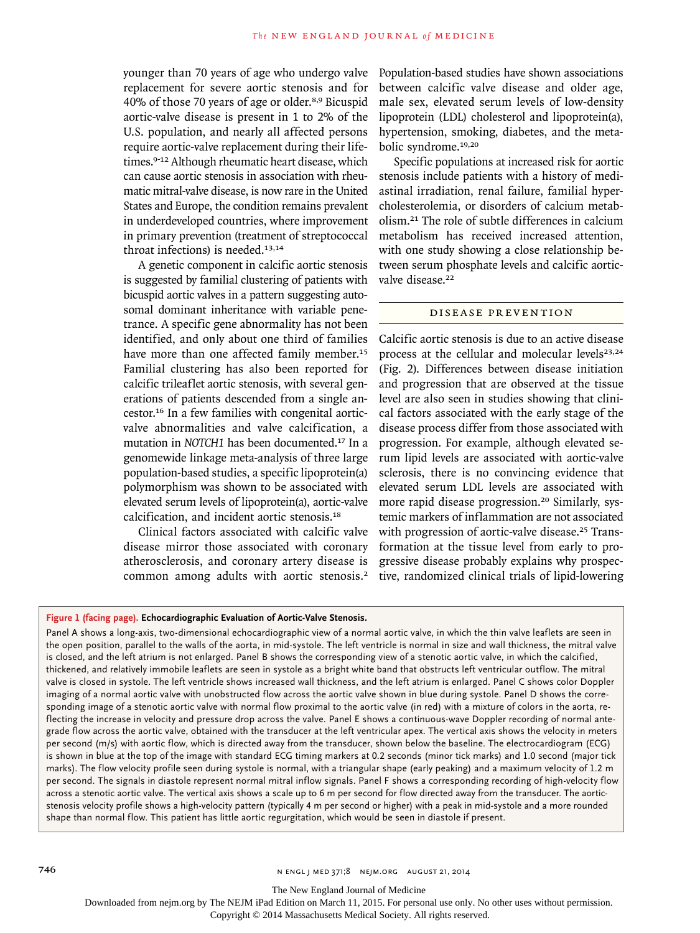younger than 70 years of age who undergo valve replacement for severe aortic stenosis and for 40% of those 70 years of age or older.8,9 Bicuspid aortic-valve disease is present in 1 to 2% of the U.S. population, and nearly all affected persons require aortic-valve replacement during their lifetimes.9-12 Although rheumatic heart disease, which can cause aortic stenosis in association with rheumatic mitral-valve disease, is now rare in the United States and Europe, the condition remains prevalent in underdeveloped countries, where improvement in primary prevention (treatment of streptococcal throat infections) is needed.<sup>13,14</sup>

A genetic component in calcific aortic stenosis is suggested by familial clustering of patients with bicuspid aortic valves in a pattern suggesting autosomal dominant inheritance with variable penetrance. A specific gene abnormality has not been identified, and only about one third of families have more than one affected family member.<sup>15</sup> Familial clustering has also been reported for calcific trileaflet aortic stenosis, with several generations of patients descended from a single ancestor.16 In a few families with congenital aorticvalve abnormalities and valve calcification, a mutation in *NOTCH1* has been documented.17 In a genomewide linkage meta-analysis of three large population-based studies, a specific lipoprotein(a) polymorphism was shown to be associated with elevated serum levels of lipoprotein(a), aortic-valve calcification, and incident aortic stenosis.<sup>18</sup>

Clinical factors associated with calcific valve disease mirror those associated with coronary atherosclerosis, and coronary artery disease is common among adults with aortic stenosis.<sup>2</sup> Population-based studies have shown associations between calcific valve disease and older age, male sex, elevated serum levels of low-density lipoprotein (LDL) cholesterol and lipoprotein(a), hypertension, smoking, diabetes, and the metabolic syndrome.19,20

Specific populations at increased risk for aortic stenosis include patients with a history of mediastinal irradiation, renal failure, familial hypercholesterolemia, or disorders of calcium metabolism.21 The role of subtle differences in calcium metabolism has received increased attention, with one study showing a close relationship between serum phosphate levels and calcific aorticvalve disease.<sup>22</sup>

# Disease Prevention

Calcific aortic stenosis is due to an active disease process at the cellular and molecular levels<sup>23,24</sup> (Fig. 2). Differences between disease initiation and progression that are observed at the tissue level are also seen in studies showing that clinical factors associated with the early stage of the disease process differ from those associated with progression. For example, although elevated serum lipid levels are associated with aortic-valve sclerosis, there is no convincing evidence that elevated serum LDL levels are associated with more rapid disease progression.<sup>20</sup> Similarly, systemic markers of inflammation are not associated with progression of aortic-valve disease.<sup>25</sup> Transformation at the tissue level from early to progressive disease probably explains why prospective, randomized clinical trials of lipid-lowering

# **Figure 1 (facing page). Echocardiographic Evaluation of Aortic-Valve Stenosis.**

Panel A shows a long-axis, two-dimensional echocardiographic view of a normal aortic valve, in which the thin valve leaflets are seen in the open position, parallel to the walls of the aorta, in mid-systole. The left ventricle is normal in size and wall thickness, the mitral valve is closed, and the left atrium is not enlarged. Panel B shows the corresponding view of a stenotic aortic valve, in which the calcified, thickened, and relatively immobile leaflets are seen in systole as a bright white band that obstructs left ventricular outflow. The mitral valve is closed in systole. The left ventricle shows increased wall thickness, and the left atrium is enlarged. Panel C shows color Doppler imaging of a normal aortic valve with unobstructed flow across the aortic valve shown in blue during systole. Panel D shows the corresponding image of a stenotic aortic valve with normal flow proximal to the aortic valve (in red) with a mixture of colors in the aorta, reflecting the increase in velocity and pressure drop across the valve. Panel E shows a continuous-wave Doppler recording of normal antegrade flow across the aortic valve, obtained with the transducer at the left ventricular apex. The vertical axis shows the velocity in meters per second (m/s) with aortic flow, which is directed away from the transducer, shown below the baseline. The electrocardiogram (ECG) is shown in blue at the top of the image with standard ECG timing markers at 0.2 seconds (minor tick marks) and 1.0 second (major tick marks). The flow velocity profile seen during systole is normal, with a triangular shape (early peaking) and a maximum velocity of 1.2 m per second. The signals in diastole represent normal mitral inflow signals. Panel F shows a corresponding recording of high-velocity flow across a stenotic aortic valve. The vertical axis shows a scale up to 6 m per second for flow directed away from the transducer. The aorticstenosis velocity profile shows a high-velocity pattern (typically 4 m per second or higher) with a peak in mid-systole and a more rounded shape than normal flow. This patient has little aortic regurgitation, which would be seen in diastole if present.

The New England Journal of Medicine

Downloaded from nejm.org by The NEJM iPad Edition on March 11, 2015. For personal use only. No other uses without permission.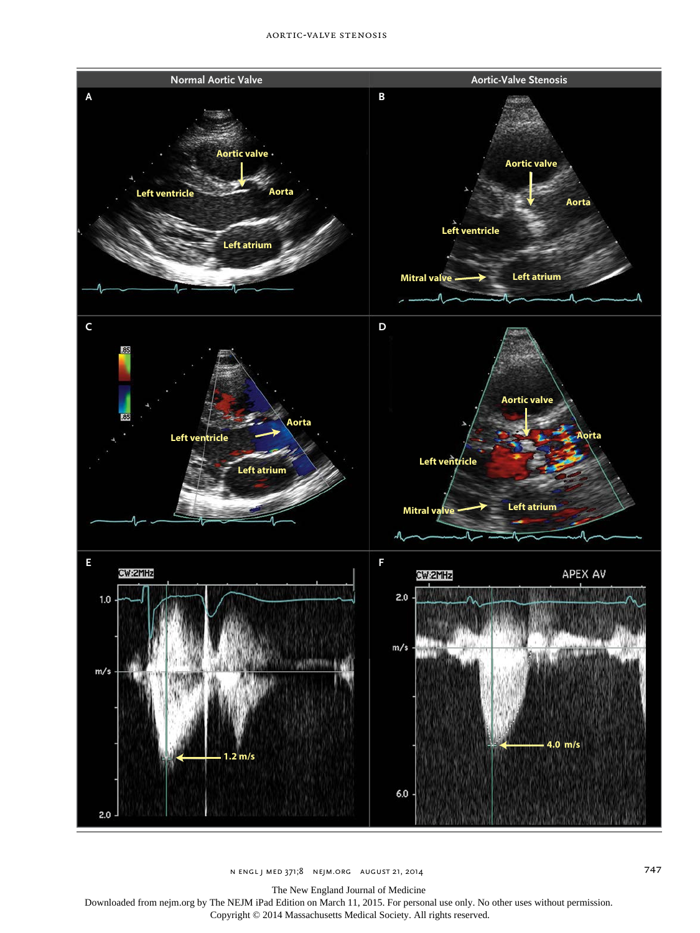

n engl j med 371;8 nejm.org august 21, 2014 747

The New England Journal of Medicine

Downloaded from nejm.org by The NEJM iPad Edition on March 11, 2015. For personal use only. No other uses without permission.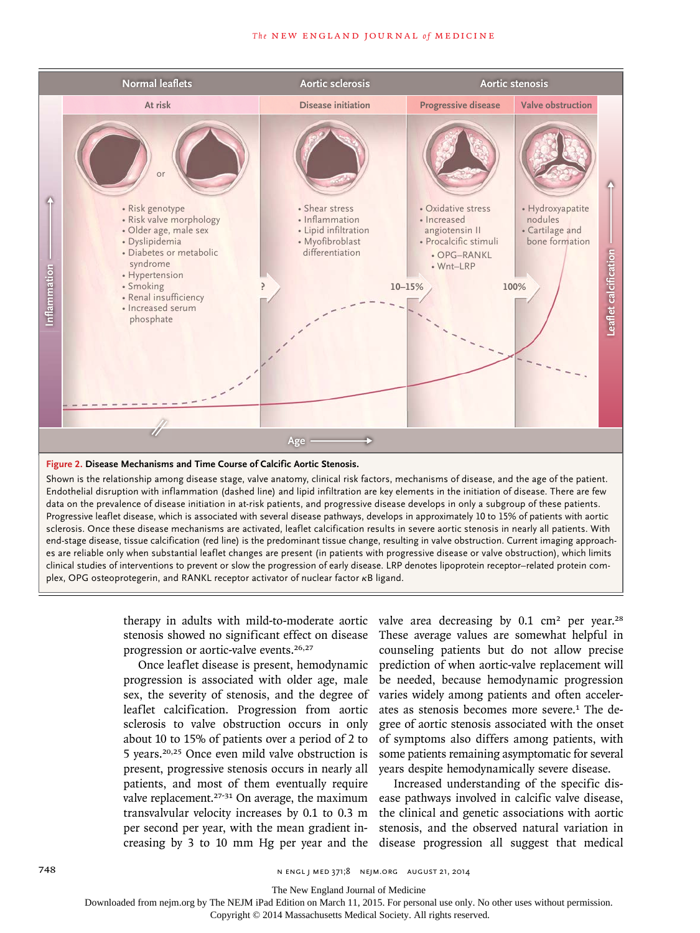

#### **Figure 2. Disease Mechanisms and Time Course of Calcific Aortic Stenosis.**

, and th<br>on of dis -<br>Shown is the relationship among disease stage, valve anatomy, clinical risk factors, mechanisms of disease, and the age of the patient. end-stage disease, tissue calcification (red line) is the predominant tissue change, resulting in valve obstruction. Current imaging approaches are reliable only when substantial leaflet changes are present (in patients with progressive disease or valve obstruction), which limits Fig # Otto Endothelial disruption with inflammation (dashed line) and lipid infiltration are key elements in the initiation of disease. There are few data on the prevalence of disease initiation in at-risk patients, and progressive disease develops in only a subgroup of these patients. Progressive leaflet disease, which is associated with several disease pathways, develops in approximately 10 to 15% of patients with aortic sclerosis. Once these disease mechanisms are activated, leaflet calcification results in severe aortic stenosis in nearly all patients. With Is and change daty interventions to prevent or slow the progression of early disease. LRP denotes lipoprotein receptor–related protein com-<br>Clinical studies of interventions to prevent or slow the progression of early dise plex, OPG osteoprotegerin, and RANKL receptor activator of nuclear factor κB ligand.

> therapy in adults with mild-to-moderate aortic stenosis showed no significant effect on disease progression or aortic-valve events.26,27

Once leaflet disease is present, hemodynamic progression is associated with older age, male sex, the severity of stenosis, and the degree of leaflet calcification. Progression from aortic sclerosis to valve obstruction occurs in only about 10 to 15% of patients over a period of 2 to 5 years.20,25 Once even mild valve obstruction is present, progressive stenosis occurs in nearly all patients, and most of them eventually require transvalvular velocity increases by 0.1 to 0.3 m per second per year, with the mean gradient in-

valve area decreasing by  $0.1 \text{ cm}^2$  per year.<sup>28</sup> These average values are somewhat helpful in counseling patients but do not allow precise prediction of when aortic-valve replacement will be needed, because hemodynamic progression varies widely among patients and often accelerates as stenosis becomes more severe.<sup>1</sup> The degree of aortic stenosis associated with the onset of symptoms also differs among patients, with some patients remaining asymptomatic for several years despite hemodynamically severe disease.

valve replacement.<sup>27-31</sup> On average, the maximum ease pathways involved in calcific valve disease, creasing by 3 to 10 mm Hg per year and the disease progression all suggest that medical Increased understanding of the specific disthe clinical and genetic associations with aortic stenosis, and the observed natural variation in

The New England Journal of Medicine

Downloaded from nejm.org by The NEJM iPad Edition on March 11, 2015. For personal use only. No other uses without permission.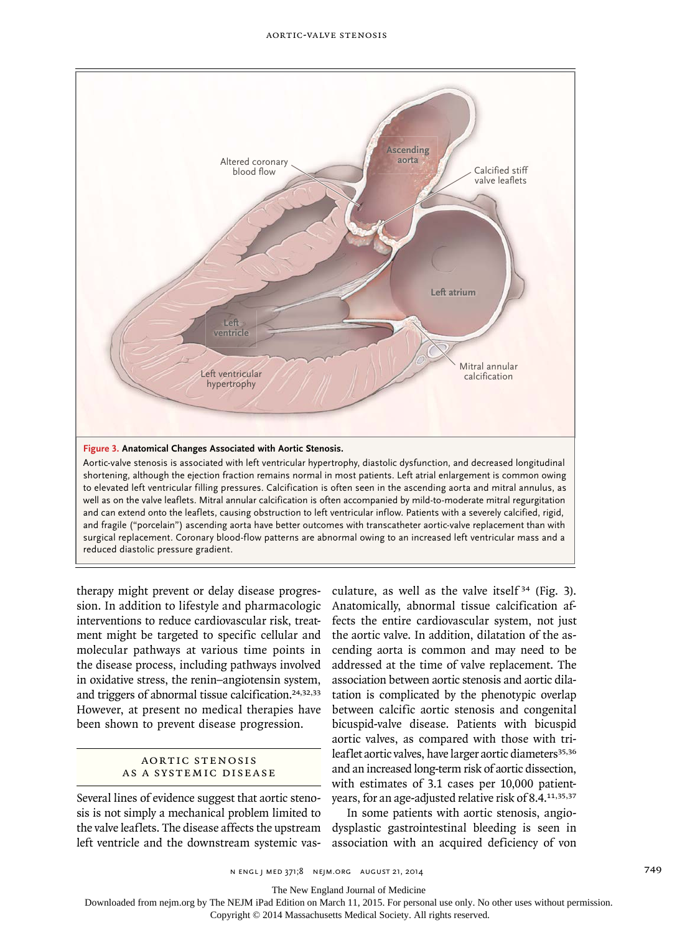

to elevated left ventricular filling pressures. Calcification is often seen in the ascending aorta and mitral annulus, as and fragile ("porcelain") ascending aorta have better outcomes with transcatheter aortic-valve replacement than with surgical replacement. Coronary blood-flow patterns are abnormal owing to an increased left ventricular mass and a shortening, although the ejection fraction remains normal in most patients. Left atrial enlargement is common owing well as on the valve leaflets. Mitral annular calcification is often accompanied by mild-to-moderate mitral regurgitation and can extend onto the leaflets, causing obstruction to left ventricular inflow. Patients with a severely calcified, rigid, reduced diastolic pressure gradient.

therapy might prevent or delay disease progression. In addition to lifestyle and pharmacologic interventions to reduce cardiovascular risk, treatment might be targeted to specific cellular and molecular pathways at various time points in the disease process, including pathways involved in oxidative stress, the renin–angiotensin system, and triggers of abnormal tissue calcification.<sup>24,32,33</sup> However, at present no medical therapies have been shown to prevent disease progression.

# AORTIC STENOSIS as a Systemic Disease

Several lines of evidence suggest that aortic stenosis is not simply a mechanical problem limited to the valve leaflets. The disease affects the upstream left ventricle and the downstream systemic vasculature, as well as the valve itself<sup>34</sup> (Fig. 3). Anatomically, abnormal tissue calcification affects the entire cardiovascular system, not just the aortic valve. In addition, dilatation of the ascending aorta is common and may need to be addressed at the time of valve replacement. The association between aortic stenosis and aortic dilatation is complicated by the phenotypic overlap between calcific aortic stenosis and congenital bicuspid-valve disease. Patients with bicuspid aortic valves, as compared with those with trileaflet aortic valves, have larger aortic diameters<sup>35,36</sup> and an increased long-term risk of aortic dissection, with estimates of 3.1 cases per 10,000 patientyears, for an age-adjusted relative risk of 8.4.11,35,37

In some patients with aortic stenosis, angiodysplastic gastrointestinal bleeding is seen in association with an acquired deficiency of von

The New England Journal of Medicine

Downloaded from nejm.org by The NEJM iPad Edition on March 11, 2015. For personal use only. No other uses without permission.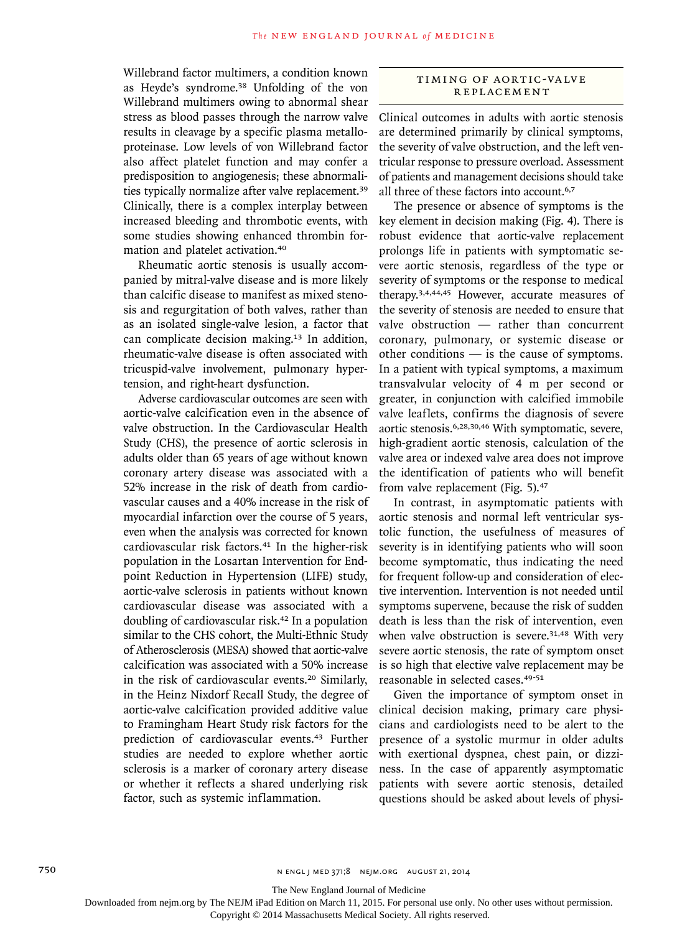Willebrand factor multimers, a condition known as Heyde's syndrome.38 Unfolding of the von Willebrand multimers owing to abnormal shear stress as blood passes through the narrow valve results in cleavage by a specific plasma metalloproteinase. Low levels of von Willebrand factor also affect platelet function and may confer a predisposition to angiogenesis; these abnormalities typically normalize after valve replacement.<sup>39</sup> Clinically, there is a complex interplay between increased bleeding and thrombotic events, with some studies showing enhanced thrombin formation and platelet activation.<sup>40</sup>

Rheumatic aortic stenosis is usually accompanied by mitral-valve disease and is more likely than calcific disease to manifest as mixed stenosis and regurgitation of both valves, rather than as an isolated single-valve lesion, a factor that can complicate decision making.13 In addition, rheumatic-valve disease is often associated with tricuspid-valve involvement, pulmonary hypertension, and right-heart dysfunction.

Adverse cardiovascular outcomes are seen with aortic-valve calcification even in the absence of valve obstruction. In the Cardiovascular Health Study (CHS), the presence of aortic sclerosis in adults older than 65 years of age without known coronary artery disease was associated with a 52% increase in the risk of death from cardiovascular causes and a 40% increase in the risk of myocardial infarction over the course of 5 years, even when the analysis was corrected for known cardiovascular risk factors.<sup>41</sup> In the higher-risk population in the Losartan Intervention for Endpoint Reduction in Hypertension (LIFE) study, aortic-valve sclerosis in patients without known cardiovascular disease was associated with a doubling of cardiovascular risk.42 In a population similar to the CHS cohort, the Multi-Ethnic Study of Atherosclerosis (MESA) showed that aortic-valve calcification was associated with a 50% increase in the risk of cardiovascular events.<sup>20</sup> Similarly, in the Heinz Nixdorf Recall Study, the degree of aortic-valve calcification provided additive value to Framingham Heart Study risk factors for the prediction of cardiovascular events.43 Further studies are needed to explore whether aortic sclerosis is a marker of coronary artery disease or whether it reflects a shared underlying risk factor, such as systemic inflammation.

# timing of Aortic-Va lv e Replacement

Clinical outcomes in adults with aortic stenosis are determined primarily by clinical symptoms, the severity of valve obstruction, and the left ventricular response to pressure overload. Assessment of patients and management decisions should take all three of these factors into account.<sup>6,7</sup>

The presence or absence of symptoms is the key element in decision making (Fig. 4). There is robust evidence that aortic-valve replacement prolongs life in patients with symptomatic severe aortic stenosis, regardless of the type or severity of symptoms or the response to medical therapy.3,4,44,45 However, accurate measures of the severity of stenosis are needed to ensure that valve obstruction — rather than concurrent coronary, pulmonary, or systemic disease or other conditions — is the cause of symptoms. In a patient with typical symptoms, a maximum transvalvular velocity of 4 m per second or greater, in conjunction with calcified immobile valve leaflets, confirms the diagnosis of severe aortic stenosis.6,28,30,46 With symptomatic, severe, high-gradient aortic stenosis, calculation of the valve area or indexed valve area does not improve the identification of patients who will benefit from valve replacement (Fig. 5).<sup>47</sup>

In contrast, in asymptomatic patients with aortic stenosis and normal left ventricular systolic function, the usefulness of measures of severity is in identifying patients who will soon become symptomatic, thus indicating the need for frequent follow-up and consideration of elective intervention. Intervention is not needed until symptoms supervene, because the risk of sudden death is less than the risk of intervention, even when valve obstruction is severe.<sup>31,48</sup> With very severe aortic stenosis, the rate of symptom onset is so high that elective valve replacement may be reasonable in selected cases.49-51

Given the importance of symptom onset in clinical decision making, primary care physicians and cardiologists need to be alert to the presence of a systolic murmur in older adults with exertional dyspnea, chest pain, or dizziness. In the case of apparently asymptomatic patients with severe aortic stenosis, detailed questions should be asked about levels of physi-

The New England Journal of Medicine

Downloaded from nejm.org by The NEJM iPad Edition on March 11, 2015. For personal use only. No other uses without permission.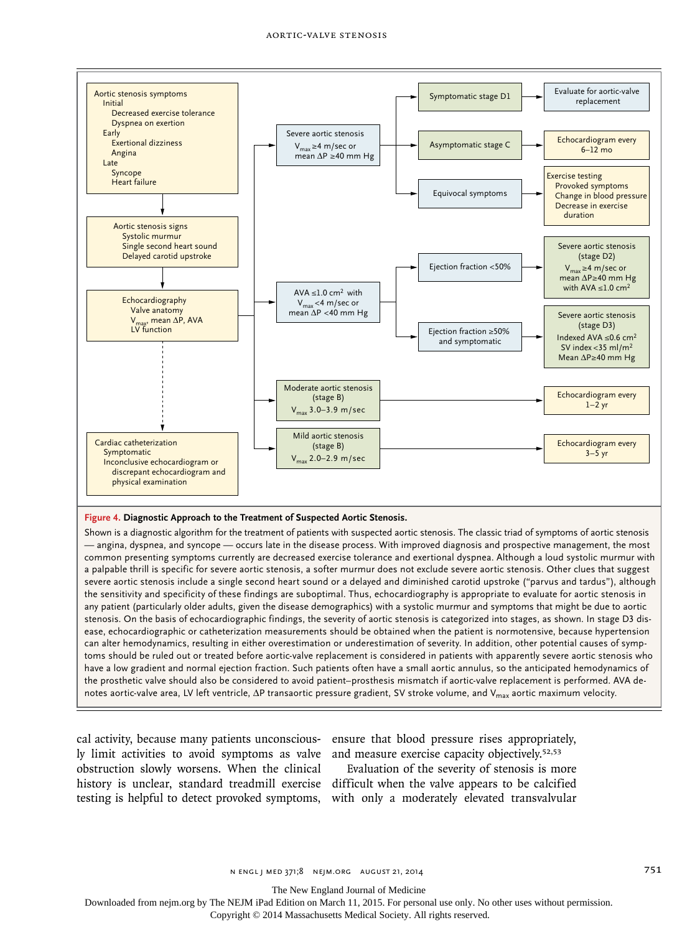

# **Figure 4. Diagnostic Approach to the Treatment of Suspected Aortic Stenosis.**

Shown is a diagnostic algorithm for the treatment of patients with suspected aortic stenosis. The classic triad of symptoms of aortic stenosis — angina, dyspnea, and syncope — occurs late in the disease process. With improved diagnosis and prospective management, the most common presenting symptoms currently are decreased exercise tolerance and exertional dyspnea. Although a loud systolic murmur with a palpable thrill is specific for severe aortic stenosis, a softer murmur does not exclude severe aortic stenosis. Other clues that suggest severe aortic stenosis include a single second heart sound or a delayed and diminished carotid upstroke ("parvus and tardus"), although the sensitivity and specificity of these findings are suboptimal. Thus, echocardiography is appropriate to evaluate for aortic stenosis in any patient (particularly older adults, given the disease demographics) with a systolic murmur and symptoms that might be due to aortic stenosis. On the basis of echocardiographic findings, the severity of aortic stenosis is categorized into stages, as shown. In stage D3 disease, echocardiographic or catheterization measurements should be obtained when the patient is normotensive, because hypertension can alter hemodynamics, resulting in either overestimation or underestimation of severity. In addition, other potential causes of symptoms should be ruled out or treated before aortic-valve replacement is considered in patients with apparently severe aortic stenosis who have a low gradient and normal ejection fraction. Such patients often have a small aortic annulus, so the anticipated hemodynamics of the prosthetic valve should also be considered to avoid patient–prosthesis mismatch if aortic-valve replacement is performed. AVA denotes aortic-valve area, LV left ventricle, ΔP transaortic pressure gradient, SV stroke volume, and V<sub>max</sub> aortic maximum velocity.

ly limit activities to avoid symptoms as valve and measure exercise capacity objectively.<sup>52,53</sup> obstruction slowly worsens. When the clinical

cal activity, because many patients unconscious-ensure that blood pressure rises appropriately,

history is unclear, standard treadmill exercise difficult when the valve appears to be calcified testing is helpful to detect provoked symptoms, with only a moderately elevated transvalvular Evaluation of the severity of stenosis is more

The New England Journal of Medicine

Downloaded from nejm.org by The NEJM iPad Edition on March 11, 2015. For personal use only. No other uses without permission.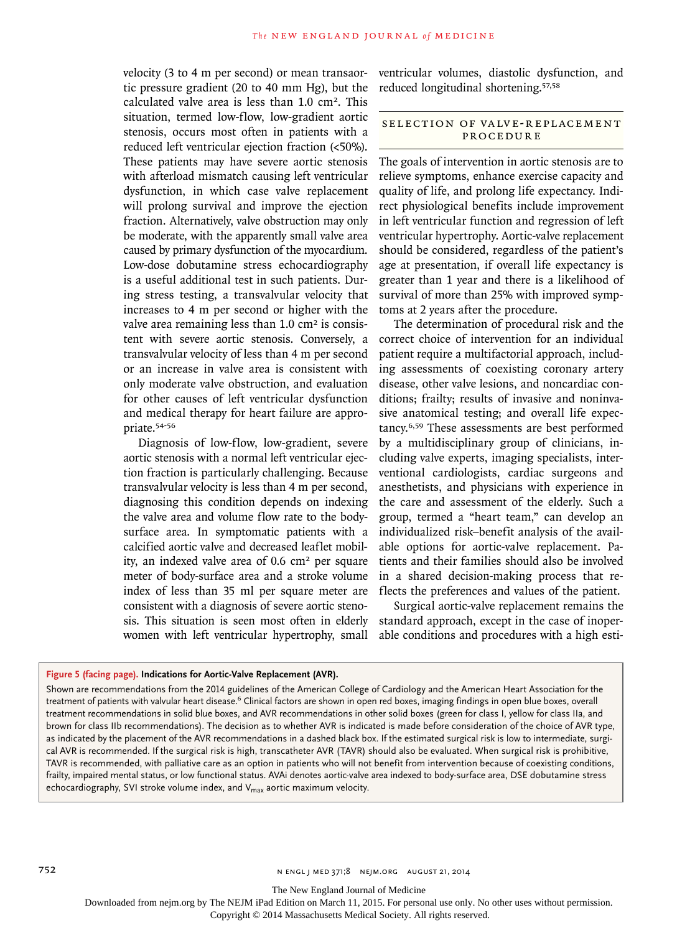velocity (3 to 4 m per second) or mean transaortic pressure gradient (20 to 40 mm Hg), but the calculated valve area is less than  $1.0 \text{ cm}^2$ . This situation, termed low-flow, low-gradient aortic stenosis, occurs most often in patients with a reduced left ventricular ejection fraction (<50%). These patients may have severe aortic stenosis with afterload mismatch causing left ventricular dysfunction, in which case valve replacement will prolong survival and improve the ejection fraction. Alternatively, valve obstruction may only be moderate, with the apparently small valve area caused by primary dysfunction of the myocardium. Low-dose dobutamine stress echocardiography is a useful additional test in such patients. During stress testing, a transvalvular velocity that increases to 4 m per second or higher with the valve area remaining less than  $1.0 \text{ cm}^2$  is consistent with severe aortic stenosis. Conversely, a transvalvular velocity of less than 4 m per second or an increase in valve area is consistent with only moderate valve obstruction, and evaluation for other causes of left ventricular dysfunction and medical therapy for heart failure are appropriate.54-56

Diagnosis of low-flow, low-gradient, severe aortic stenosis with a normal left ventricular ejection fraction is particularly challenging. Because transvalvular velocity is less than 4 m per second, diagnosing this condition depends on indexing the valve area and volume flow rate to the bodysurface area. In symptomatic patients with a calcified aortic valve and decreased leaflet mobility, an indexed valve area of 0.6 cm<sup>2</sup> per square meter of body-surface area and a stroke volume index of less than 35 ml per square meter are consistent with a diagnosis of severe aortic stenosis. This situation is seen most often in elderly women with left ventricular hypertrophy, small ventricular volumes, diastolic dysfunction, and reduced longitudinal shortening.57,58

# SELECTION OF VALVE-REPLACEMENT Procedure

The goals of intervention in aortic stenosis are to relieve symptoms, enhance exercise capacity and quality of life, and prolong life expectancy. Indirect physiological benefits include improvement in left ventricular function and regression of left ventricular hypertrophy. Aortic-valve replacement should be considered, regardless of the patient's age at presentation, if overall life expectancy is greater than 1 year and there is a likelihood of survival of more than 25% with improved symptoms at 2 years after the procedure.

The determination of procedural risk and the correct choice of intervention for an individual patient require a multifactorial approach, including assessments of coexisting coronary artery disease, other valve lesions, and noncardiac conditions; frailty; results of invasive and noninvasive anatomical testing; and overall life expectancy.6,59 These assessments are best performed by a multidisciplinary group of clinicians, including valve experts, imaging specialists, interventional cardiologists, cardiac surgeons and anesthetists, and physicians with experience in the care and assessment of the elderly. Such a group, termed a "heart team," can develop an individualized risk–benefit analysis of the available options for aortic-valve replacement. Patients and their families should also be involved in a shared decision-making process that reflects the preferences and values of the patient.

Surgical aortic-valve replacement remains the standard approach, except in the case of inoperable conditions and procedures with a high esti-

#### **Figure 5 (facing page). Indications for Aortic-Valve Replacement (AVR).**

Shown are recommendations from the 2014 guidelines of the American College of Cardiology and the American Heart Association for the treatment of patients with valvular heart disease.<sup>6</sup> Clinical factors are shown in open red boxes, imaging findings in open blue boxes, overall treatment recommendations in solid blue boxes, and AVR recommendations in other solid boxes (green for class I, yellow for class IIa, and brown for class IIb recommendations). The decision as to whether AVR is indicated is made before consideration of the choice of AVR type, as indicated by the placement of the AVR recommendations in a dashed black box. If the estimated surgical risk is low to intermediate, surgical AVR is recommended. If the surgical risk is high, transcatheter AVR (TAVR) should also be evaluated. When surgical risk is prohibitive, TAVR is recommended, with palliative care as an option in patients who will not benefit from intervention because of coexisting conditions, frailty, impaired mental status, or low functional status. AVAi denotes aortic-valve area indexed to body-surface area, DSE dobutamine stress echocardiography, SVI stroke volume index, and V<sub>max</sub> aortic maximum velocity.

The New England Journal of Medicine

Downloaded from nejm.org by The NEJM iPad Edition on March 11, 2015. For personal use only. No other uses without permission.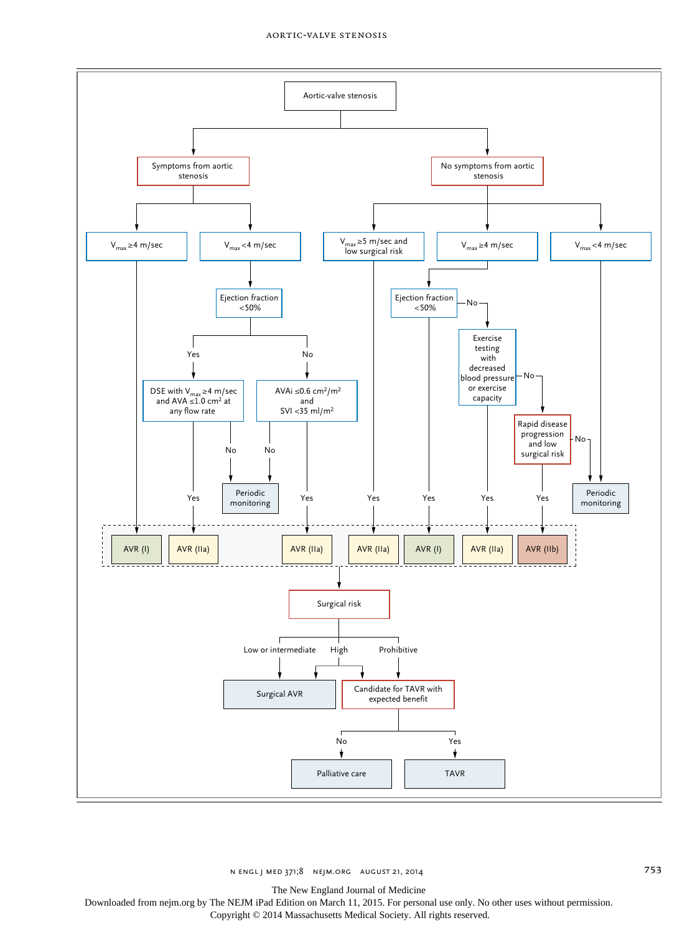

n engl j med 371;8 nejm.org august 21, 2014 753

The New England Journal of Medicine

Downloaded from nejm.org by The NEJM iPad Edition on March 11, 2015. For personal use only. No other uses without permission.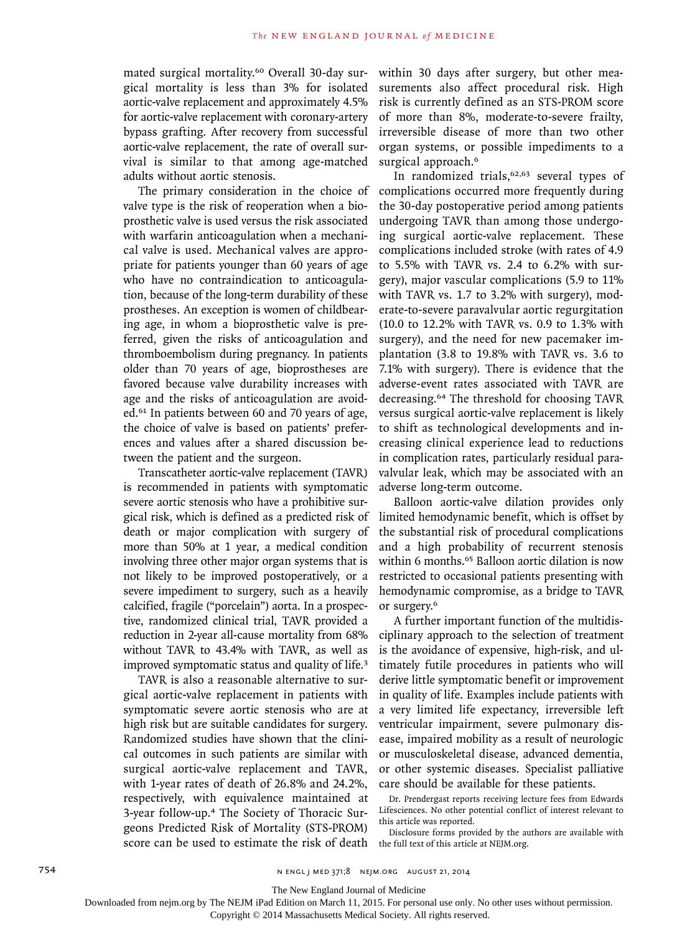mated surgical mortality.60 Overall 30-day surgical mortality is less than 3% for isolated aortic-valve replacement and approximately 4.5% for aortic-valve replacement with coronary-artery bypass grafting. After recovery from successful aortic-valve replacement, the rate of overall survival is similar to that among age-matched adults without aortic stenosis.

The primary consideration in the choice of valve type is the risk of reoperation when a bioprosthetic valve is used versus the risk associated with warfarin anticoagulation when a mechanical valve is used. Mechanical valves are appropriate for patients younger than 60 years of age who have no contraindication to anticoagulation, because of the long-term durability of these prostheses. An exception is women of childbearing age, in whom a bioprosthetic valve is preferred, given the risks of anticoagulation and thromboembolism during pregnancy. In patients older than 70 years of age, bioprostheses are favored because valve durability increases with age and the risks of anticoagulation are avoided.61 In patients between 60 and 70 years of age, the choice of valve is based on patients' preferences and values after a shared discussion between the patient and the surgeon.

Transcatheter aortic-valve replacement (TAVR) is recommended in patients with symptomatic severe aortic stenosis who have a prohibitive surgical risk, which is defined as a predicted risk of death or major complication with surgery of more than 50% at 1 year, a medical condition involving three other major organ systems that is not likely to be improved postoperatively, or a severe impediment to surgery, such as a heavily calcified, fragile ("porcelain") aorta. In a prospective, randomized clinical trial, TAVR provided a reduction in 2-year all-cause mortality from 68% without TAVR to 43.4% with TAVR, as well as improved symptomatic status and quality of life.<sup>3</sup>

TAVR is also a reasonable alternative to surgical aortic-valve replacement in patients with symptomatic severe aortic stenosis who are at high risk but are suitable candidates for surgery. Randomized studies have shown that the clinical outcomes in such patients are similar with surgical aortic-valve replacement and TAVR, with 1-year rates of death of 26.8% and 24.2%, respectively, with equivalence maintained at 3-year follow-up.4 The Society of Thoracic Surgeons Predicted Risk of Mortality (STS-PROM) score can be used to estimate the risk of death

within 30 days after surgery, but other measurements also affect procedural risk. High risk is currently defined as an STS-PROM score of more than 8%, moderate-to-severe frailty, irreversible disease of more than two other organ systems, or possible impediments to a surgical approach.<sup>6</sup>

In randomized trials, $62,63$  several types of complications occurred more frequently during the 30-day postoperative period among patients undergoing TAVR than among those undergoing surgical aortic-valve replacement. These complications included stroke (with rates of 4.9 to 5.5% with TAVR vs. 2.4 to 6.2% with surgery), major vascular complications (5.9 to 11% with TAVR vs. 1.7 to 3.2% with surgery), moderate-to-severe paravalvular aortic regurgitation (10.0 to 12.2% with TAVR vs. 0.9 to 1.3% with surgery), and the need for new pacemaker implantation (3.8 to 19.8% with TAVR vs. 3.6 to 7.1% with surgery). There is evidence that the adverse-event rates associated with TAVR are decreasing.64 The threshold for choosing TAVR versus surgical aortic-valve replacement is likely to shift as technological developments and increasing clinical experience lead to reductions in complication rates, particularly residual paravalvular leak, which may be associated with an adverse long-term outcome.

Balloon aortic-valve dilation provides only limited hemodynamic benefit, which is offset by the substantial risk of procedural complications and a high probability of recurrent stenosis within 6 months.<sup>65</sup> Balloon aortic dilation is now restricted to occasional patients presenting with hemodynamic compromise, as a bridge to TAVR or surgery.<sup>6</sup>

A further important function of the multidisciplinary approach to the selection of treatment is the avoidance of expensive, high-risk, and ultimately futile procedures in patients who will derive little symptomatic benefit or improvement in quality of life. Examples include patients with a very limited life expectancy, irreversible left ventricular impairment, severe pulmonary disease, impaired mobility as a result of neurologic or musculoskeletal disease, advanced dementia, or other systemic diseases. Specialist palliative care should be available for these patients.

Dr. Prendergast reports receiving lecture fees from Edwards Lifesciences. No other potential conflict of interest relevant to this article was reported.

Disclosure forms provided by the authors are available with the full text of this article at NEJM.org.

The New England Journal of Medicine

Downloaded from nejm.org by The NEJM iPad Edition on March 11, 2015. For personal use only. No other uses without permission.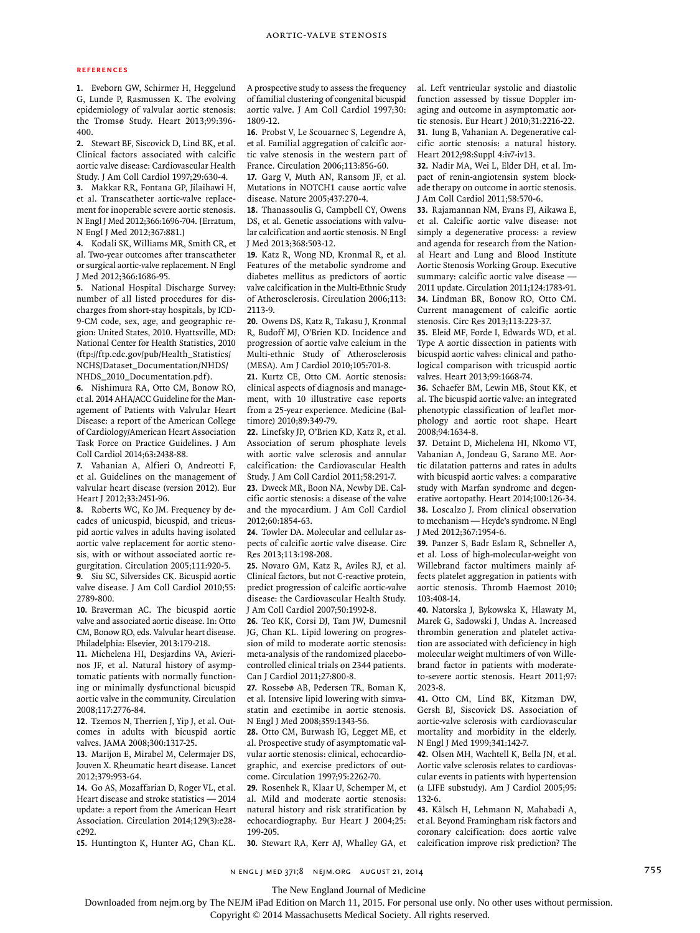# **References**

**1.** Eveborn GW, Schirmer H, Heggelund G, Lunde P, Rasmussen K. The evolving epidemiology of valvular aortic stenosis: the Tromsø Study. Heart 2013;99:396- 400.

**2.** Stewart BF, Siscovick D, Lind BK, et al. Clinical factors associated with calcific aortic valve disease: Cardiovascular Health Study. J Am Coll Cardiol 1997;29:630-4.

**3.** Makkar RR, Fontana GP, Jilaihawi H, et al. Transcatheter aortic-valve replacement for inoperable severe aortic stenosis. N Engl J Med 2012;366:1696-704. [Erratum, N Engl J Med 2012;367:881.]

**4.** Kodali SK, Williams MR, Smith CR, et al. Two-year outcomes after transcatheter or surgical aortic-valve replacement. N Engl J Med 2012;366:1686-95.

**5.** National Hospital Discharge Survey: number of all listed procedures for discharges from short-stay hospitals, by ICD-9-CM code, sex, age, and geographic region: United States, 2010. Hyattsville, MD: National Center for Health Statistics, 2010 (ftp://ftp.cdc.gov/pub/Health\_Statistics/ NCHS/Dataset\_Documentation/NHDS/ NHDS\_2010\_Documentation.pdf).

**6.** Nishimura RA, Otto CM, Bonow RO, et al. 2014 AHA/ACC Guideline for the Management of Patients with Valvular Heart Disease: a report of the American College of Cardiology/American Heart Association Task Force on Practice Guidelines. J Am Coll Cardiol 2014;63:2438-88.

**7.** Vahanian A, Alfieri O, Andreotti F, et al. Guidelines on the management of valvular heart disease (version 2012). Eur Heart J 2012;33:2451-96.

**8.** Roberts WC, Ko JM. Frequency by decades of unicuspid, bicuspid, and tricuspid aortic valves in adults having isolated aortic valve replacement for aortic stenosis, with or without associated aortic regurgitation. Circulation 2005;111:920-5.

**9.** Siu SC, Silversides CK. Bicuspid aortic valve disease. J Am Coll Cardiol 2010;55: 2789-800.

**10.** Braverman AC. The bicuspid aortic valve and associated aortic disease. In: Otto CM, Bonow RO, eds. Valvular heart disease. Philadelphia: Elsevier, 2013:179-218.

**11.** Michelena HI, Desjardins VA, Avierinos JF, et al. Natural history of asymptomatic patients with normally functioning or minimally dysfunctional bicuspid aortic valve in the community. Circulation 2008;117:2776-84.

**12.** Tzemos N, Therrien J, Yip J, et al. Outcomes in adults with bicuspid aortic valves. JAMA 2008;300:1317-25.

**13.** Marijon E, Mirabel M, Celermajer DS, Jouven X. Rheumatic heart disease. Lancet 2012;379:953-64.

**14.** Go AS, Mozaffarian D, Roger VL, et al. Heart disease and stroke statistics — 2014 update: a report from the American Heart Association. Circulation 2014;129(3):e28 e292.

**15.** Huntington K, Hunter AG, Chan KL.

A prospective study to assess the frequency of familial clustering of congenital bicuspid aortic valve. J Am Coll Cardiol 1997;30: 1809-12.

**16.** Probst V, Le Scouarnec S, Legendre A, et al. Familial aggregation of calcific aortic valve stenosis in the western part of France. Circulation 2006;113:856-60.

**17.** Garg V, Muth AN, Ransom JF, et al. Mutations in NOTCH1 cause aortic valve disease. Nature 2005;437:270-4.

**18.** Thanassoulis G, Campbell CY, Owens DS, et al. Genetic associations with valvular calcification and aortic stenosis. N Engl J Med 2013;368:503-12.

**19.** Katz R, Wong ND, Kronmal R, et al. Features of the metabolic syndrome and diabetes mellitus as predictors of aortic valve calcification in the Multi-Ethnic Study of Atherosclerosis. Circulation 2006;113: 2113-9.

**20.** Owens DS, Katz R, Takasu J, Kronmal R, Budoff MJ, O'Brien KD. Incidence and progression of aortic valve calcium in the Multi-ethnic Study of Atherosclerosis (MESA). Am J Cardiol 2010;105:701-8.

**21.** Kurtz CE, Otto CM. Aortic stenosis: clinical aspects of diagnosis and management, with 10 illustrative case reports from a 25-year experience. Medicine (Baltimore) 2010;89:349-79.

**22.** Linefsky JP, O'Brien KD, Katz R, et al. Association of serum phosphate levels with aortic valve sclerosis and annular calcification: the Cardiovascular Health Study. J Am Coll Cardiol 2011;58:291-7.

**23.** Dweck MR, Boon NA, Newby DE. Calcific aortic stenosis: a disease of the valve and the myocardium. J Am Coll Cardiol 2012;60:1854-63.

**24.** Towler DA. Molecular and cellular aspects of calcific aortic valve disease. Circ Res 2013;113:198-208.

**25.** Novaro GM, Katz R, Aviles RJ, et al. Clinical factors, but not C-reactive protein, predict progression of calcific aortic-valve disease: the Cardiovascular Health Study. J Am Coll Cardiol 2007;50:1992-8.

**26.** Teo KK, Corsi DJ, Tam JW, Dumesnil JG, Chan KL. Lipid lowering on progression of mild to moderate aortic stenosis: meta-analysis of the randomized placebocontrolled clinical trials on 2344 patients. Can J Cardiol 2011;27:800-8.

**27.** Rossebø AB, Pedersen TR, Boman K, et al. Intensive lipid lowering with simvastatin and ezetimibe in aortic stenosis. N Engl J Med 2008;359:1343-56.

**28.** Otto CM, Burwash IG, Legget ME, et al. Prospective study of asymptomatic valvular aortic stenosis: clinical, echocardiographic, and exercise predictors of outcome. Circulation 1997;95:2262-70.

**29.** Rosenhek R, Klaar U, Schemper M, et al. Mild and moderate aortic stenosis: natural history and risk stratification by echocardiography. Eur Heart J 2004;25: 199-205.

**30.** Stewart RA, Kerr AJ, Whalley GA, et

al. Left ventricular systolic and diastolic function assessed by tissue Doppler imaging and outcome in asymptomatic aortic stenosis. Eur Heart J 2010;31:2216-22. **31.** Iung B, Vahanian A. Degenerative calcific aortic stenosis: a natural history. Heart 2012;98:Suppl 4:iv7-iv13.

**32.** Nadir MA, Wei L, Elder DH, et al. Impact of renin-angiotensin system blockade therapy on outcome in aortic stenosis. J Am Coll Cardiol 2011;58:570-6.

**33.** Rajamannan NM, Evans FJ, Aikawa E, et al. Calcific aortic valve disease: not simply a degenerative process: a review and agenda for research from the National Heart and Lung and Blood Institute Aortic Stenosis Working Group. Executive summary: calcific aortic valve disease — 2011 update. Circulation 2011;124:1783-91. **34.** Lindman BR, Bonow RO, Otto CM. Current management of calcific aortic stenosis. Circ Res 2013;113:223-37.

**35.** Eleid MF, Forde I, Edwards WD, et al. Type A aortic dissection in patients with bicuspid aortic valves: clinical and pathological comparison with tricuspid aortic valves. Heart 2013;99:1668-74.

**36.** Schaefer BM, Lewin MB, Stout KK, et al. The bicuspid aortic valve: an integrated phenotypic classification of leaflet morphology and aortic root shape. Heart 2008;94:1634-8.

**37.** Detaint D, Michelena HI, Nkomo VT, Vahanian A, Jondeau G, Sarano ME. Aortic dilatation patterns and rates in adults with bicuspid aortic valves: a comparative study with Marfan syndrome and degenerative aortopathy. Heart 2014;100:126-34. **38.** Loscalzo J. From clinical observation to mechanism — Heyde's syndrome. N Engl J Med 2012;367:1954-6.

**39.** Panzer S, Badr Eslam R, Schneller A, et al. Loss of high-molecular-weight von Willebrand factor multimers mainly affects platelet aggregation in patients with aortic stenosis. Thromb Haemost 2010; 103:408-14.

**40.** Natorska J, Bykowska K, Hlawaty M, Marek G, Sadowski J, Undas A. Increased thrombin generation and platelet activation are associated with deficiency in high molecular weight multimers of von Willebrand factor in patients with moderateto-severe aortic stenosis. Heart 2011;97: 2023-8.

**41.** Otto CM, Lind BK, Kitzman DW, Gersh BJ, Siscovick DS. Association of aortic-valve sclerosis with cardiovascular mortality and morbidity in the elderly. N Engl J Med 1999;341:142-7.

**42.** Olsen MH, Wachtell K, Bella JN, et al. Aortic valve sclerosis relates to cardiovascular events in patients with hypertension (a LIFE substudy). Am J Cardiol 2005;95: 132-6.

**43.** Kälsch H, Lehmann N, Mahabadi A, et al. Beyond Framingham risk factors and coronary calcification: does aortic valve calcification improve risk prediction? The

n engl j med 371;8 nejm.org august 21, 2014 755

The New England Journal of Medicine

Downloaded from nejm.org by The NEJM iPad Edition on March 11, 2015. For personal use only. No other uses without permission.